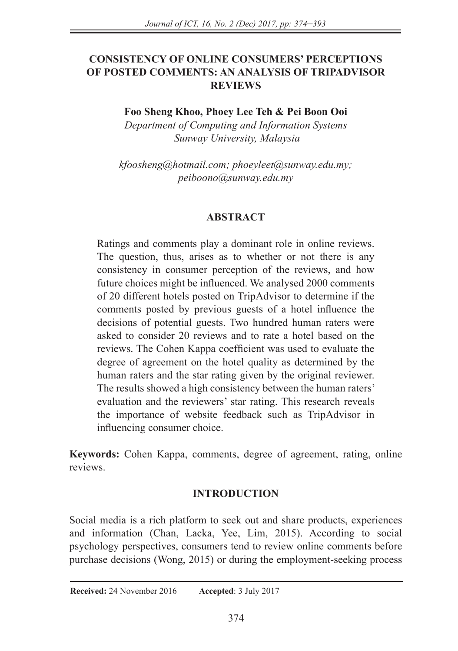## **CONSISTENCY OF ONLINE CONSUMERS' PERCEPTIONS OF POSTED COMMENTS: AN ANALYSIS OF TRIPADVISOR REVIEWS**

**Foo Sheng Khoo, Phoey Lee Teh & Pei Boon Ooi**

*Department of Computing and Information Systems Sunway University, Malaysia*

*kfoosheng@hotmail.com; phoeyleet@sunway.edu.my; peiboono@sunway.edu.my*

### **ABSTRACT**

Ratings and comments play a dominant role in online reviews. The question, thus, arises as to whether or not there is any consistency in consumer perception of the reviews, and how future choices might be influenced. We analysed 2000 comments of 20 different hotels posted on TripAdvisor to determine if the comments posted by previous guests of a hotel influence the decisions of potential guests. Two hundred human raters were asked to consider 20 reviews and to rate a hotel based on the reviews. The Cohen Kappa coefficient was used to evaluate the degree of agreement on the hotel quality as determined by the human raters and the star rating given by the original reviewer. The results showed a high consistency between the human raters' evaluation and the reviewers' star rating. This research reveals the importance of website feedback such as TripAdvisor in influencing consumer choice.

**Keywords:** Cohen Kappa, comments, degree of agreement, rating, online reviews.

### **INTRODUCTION**

Social media is a rich platform to seek out and share products, experiences and information (Chan, Lacka, Yee, Lim, 2015). According to social psychology perspectives, consumers tend to review online comments before purchase decisions (Wong, 2015) or during the employment-seeking process

#### **Received:** 24 November 2016 **Accepted**: 3 July 2017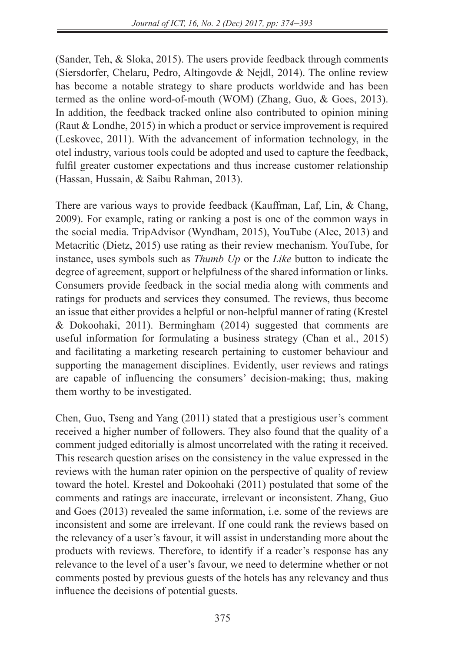(Sander, Teh, & Sloka, 2015). The users provide feedback through comments (Siersdorfer, Chelaru, Pedro, Altingovde & Nejdl, 2014). The online review has become a notable strategy to share products worldwide and has been termed as the online word-of-mouth (WOM) (Zhang, Guo, & Goes, 2013). In addition, the feedback tracked online also contributed to opinion mining (Raut & Londhe, 2015) in which a product or service improvement is required (Leskovec, 2011). With the advancement of information technology, in the otel industry, various tools could be adopted and used to capture the feedback, fulfil greater customer expectations and thus increase customer relationship (Hassan, Hussain, & Saibu Rahman, 2013).

There are various ways to provide feedback (Kauffman, Laf, Lin, & Chang, 2009). For example, rating or ranking a post is one of the common ways in the social media. TripAdvisor (Wyndham, 2015), YouTube (Alec, 2013) and Metacritic (Dietz, 2015) use rating as their review mechanism. YouTube, for instance, uses symbols such as *Thumb Up* or the *Like* button to indicate the degree of agreement, support or helpfulness of the shared information or links. Consumers provide feedback in the social media along with comments and ratings for products and services they consumed. The reviews, thus become an issue that either provides a helpful or non-helpful manner of rating (Krestel & Dokoohaki, 2011). Bermingham (2014) suggested that comments are useful information for formulating a business strategy (Chan et al., 2015) and facilitating a marketing research pertaining to customer behaviour and supporting the management disciplines. Evidently, user reviews and ratings are capable of influencing the consumers' decision-making; thus, making them worthy to be investigated.

Chen, Guo, Tseng and Yang (2011) stated that a prestigious user's comment received a higher number of followers. They also found that the quality of a comment judged editorially is almost uncorrelated with the rating it received. This research question arises on the consistency in the value expressed in the reviews with the human rater opinion on the perspective of quality of review toward the hotel. Krestel and Dokoohaki (2011) postulated that some of the comments and ratings are inaccurate, irrelevant or inconsistent. Zhang, Guo and Goes (2013) revealed the same information, i.e. some of the reviews are inconsistent and some are irrelevant. If one could rank the reviews based on the relevancy of a user's favour, it will assist in understanding more about the products with reviews. Therefore, to identify if a reader's response has any relevance to the level of a user's favour, we need to determine whether or not comments posted by previous guests of the hotels has any relevancy and thus influence the decisions of potential guests.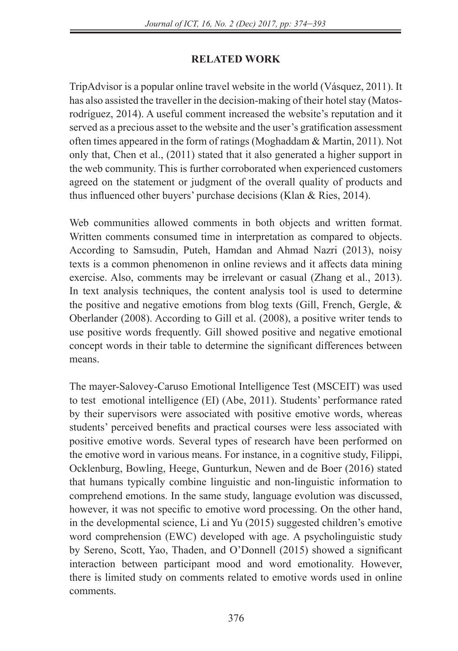# **RELATED WORK**

TripAdvisor is a popular online travel website in the world (Vásquez, 2011). It has also assisted the traveller in the decision-making of their hotel stay (Matosrodríguez, 2014). A useful comment increased the website's reputation and it served as a precious asset to the website and the user's gratification assessment often times appeared in the form of ratings (Moghaddam & Martin, 2011). Not only that, Chen et al., (2011) stated that it also generated a higher support in the web community. This is further corroborated when experienced customers agreed on the statement or judgment of the overall quality of products and thus influenced other buyers' purchase decisions (Klan & Ries, 2014).

Web communities allowed comments in both objects and written format. Written comments consumed time in interpretation as compared to objects. According to Samsudin, Puteh, Hamdan and Ahmad Nazri (2013), noisy texts is a common phenomenon in online reviews and it affects data mining exercise. Also, comments may be irrelevant or casual (Zhang et al., 2013). In text analysis techniques, the content analysis tool is used to determine the positive and negative emotions from blog texts (Gill, French, Gergle, & Oberlander (2008). According to Gill et al. (2008), a positive writer tends to use positive words frequently. Gill showed positive and negative emotional concept words in their table to determine the significant differences between means.

The mayer-Salovey-Caruso Emotional Intelligence Test (MSCEIT) was used to test emotional intelligence (EI) (Abe, 2011). Students' performance rated by their supervisors were associated with positive emotive words, whereas students' perceived benefits and practical courses were less associated with positive emotive words. Several types of research have been performed on the emotive word in various means. For instance, in a cognitive study, Filippi, Ocklenburg, Bowling, Heege, Gunturkun, Newen and de Boer (2016) stated that humans typically combine linguistic and non-linguistic information to comprehend emotions. In the same study, language evolution was discussed, however, it was not specific to emotive word processing. On the other hand, in the developmental science, Li and Yu (2015) suggested children's emotive word comprehension (EWC) developed with age. A psycholinguistic study by Sereno, Scott, Yao, Thaden, and O'Donnell (2015) showed a significant interaction between participant mood and word emotionality. However, there is limited study on comments related to emotive words used in online comments.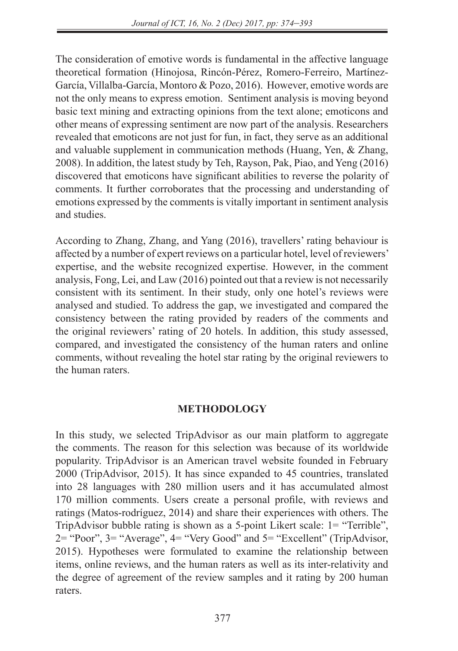The consideration of emotive words is fundamental in the affective language theoretical formation (Hinojosa, Rincón-Pérez, Romero-Ferreiro, Martínez-García, Villalba-García, Montoro & Pozo, 2016). However, emotive words are not the only means to express emotion. Sentiment analysis is moving beyond basic text mining and extracting opinions from the text alone; emoticons and other means of expressing sentiment are now part of the analysis. Researchers revealed that emoticons are not just for fun, in fact, they serve as an additional and valuable supplement in communication methods (Huang, Yen, & Zhang, 2008). In addition, the latest study by Teh, Rayson, Pak, Piao, and Yeng (2016) discovered that emoticons have significant abilities to reverse the polarity of comments. It further corroborates that the processing and understanding of emotions expressed by the comments is vitally important in sentiment analysis and studies.

According to Zhang, Zhang, and Yang (2016), travellers' rating behaviour is affected by a number of expert reviews on a particular hotel, level of reviewers' expertise, and the website recognized expertise. However, in the comment analysis, Fong, Lei, and Law (2016) pointed out that a review is not necessarily consistent with its sentiment. In their study, only one hotel's reviews were analysed and studied. To address the gap, we investigated and compared the consistency between the rating provided by readers of the comments and the original reviewers' rating of 20 hotels. In addition, this study assessed, compared, and investigated the consistency of the human raters and online comments, without revealing the hotel star rating by the original reviewers to the human raters.

#### **METHODOLOGY**

In this study, we selected TripAdvisor as our main platform to aggregate the comments. The reason for this selection was because of its worldwide popularity. TripAdvisor is an American travel website founded in February 2000 (TripAdvisor, 2015). It has since expanded to 45 countries, translated into 28 languages with 280 million users and it has accumulated almost 170 million comments. Users create a personal profile, with reviews and ratings (Matos-rodríguez, 2014) and share their experiences with others. The TripAdvisor bubble rating is shown as a 5-point Likert scale: 1= "Terrible", 2= "Poor", 3= "Average", 4= "Very Good" and 5= "Excellent" (TripAdvisor, 2015). Hypotheses were formulated to examine the relationship between items, online reviews, and the human raters as well as its inter-relativity and the degree of agreement of the review samples and it rating by 200 human raters.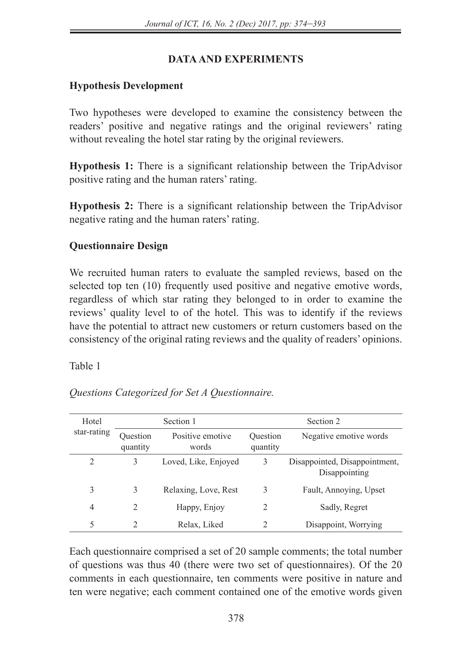# **DATA AND EXPERIMENTS**

# **Hypothesis Development**

Two hypotheses were developed to examine the consistency between the readers' positive and negative ratings and the original reviewers' rating without revealing the hotel star rating by the original reviewers.

**Hypothesis 1:** There is a significant relationship between the TripAdvisor positive rating and the human raters' rating.

**Hypothesis 2:** There is a significant relationship between the TripAdvisor negative rating and the human raters' rating.

### **Questionnaire Design**

We recruited human raters to evaluate the sampled reviews, based on the selected top ten (10) frequently used positive and negative emotive words, regardless of which star rating they belonged to in order to examine the reviews' quality level to of the hotel. This was to identify if the reviews have the potential to attract new customers or return customers based on the consistency of the original rating reviews and the quality of readers' opinions.

Table 1

| Hotel       | Section 1            |                           | Section 2            |                                                |  |
|-------------|----------------------|---------------------------|----------------------|------------------------------------------------|--|
| star-rating | Question<br>quantity | Positive emotive<br>words | Ouestion<br>quantity | Negative emotive words                         |  |
| 2           | 3                    | Loved, Like, Enjoyed      | 3                    | Disappointed, Disappointment,<br>Disappointing |  |
| 3           | 3                    | Relaxing, Love, Rest      | 3                    | Fault, Annoying, Upset                         |  |
| 4           | 2                    | Happy, Enjoy              | 2                    | Sadly, Regret                                  |  |
| 5           |                      | Relax, Liked              | 2                    | Disappoint, Worrying                           |  |

*Questions Categorized for Set A Questionnaire.*

Each questionnaire comprised a set of 20 sample comments; the total number of questions was thus 40 (there were two set of questionnaires). Of the 20 comments in each questionnaire, ten comments were positive in nature and ten were negative; each comment contained one of the emotive words given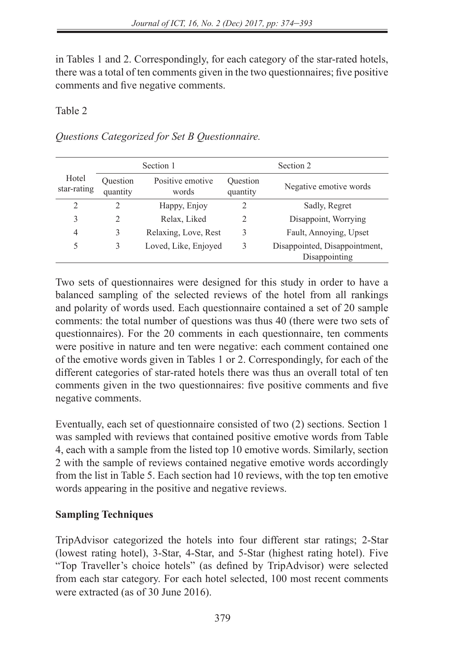in Tables 1 and 2. Correspondingly, for each category of the star-rated hotels, there was a total of ten comments given in the two questionnaires; five positive comments and five negative comments.

#### Table 2

*Questions Categorized for Set B Questionnaire.*

| Section 1            |                      |                           | Section 2            |                                                |  |
|----------------------|----------------------|---------------------------|----------------------|------------------------------------------------|--|
| Hotel<br>star-rating | Ouestion<br>quantity | Positive emotive<br>words | Ouestion<br>quantity | Negative emotive words                         |  |
| $\overline{2}$       | 2                    | Happy, Enjoy              | $\overline{c}$       | Sadly, Regret                                  |  |
| 3                    | 2                    | Relax, Liked              | 2                    | Disappoint, Worrying                           |  |
| 4                    | 3                    | Relaxing, Love, Rest      | 3                    | Fault, Annoying, Upset                         |  |
| 5                    | 3                    | Loved, Like, Enjoyed      | 3                    | Disappointed, Disappointment,<br>Disappointing |  |

Two sets of questionnaires were designed for this study in order to have a balanced sampling of the selected reviews of the hotel from all rankings and polarity of words used. Each questionnaire contained a set of 20 sample comments: the total number of questions was thus 40 (there were two sets of questionnaires). For the 20 comments in each questionnaire, ten comments were positive in nature and ten were negative: each comment contained one of the emotive words given in Tables 1 or 2. Correspondingly, for each of the different categories of star-rated hotels there was thus an overall total of ten comments given in the two questionnaires: five positive comments and five negative comments.

Eventually, each set of questionnaire consisted of two (2) sections. Section 1 was sampled with reviews that contained positive emotive words from Table 4, each with a sample from the listed top 10 emotive words. Similarly, section 2 with the sample of reviews contained negative emotive words accordingly from the list in Table 5. Each section had 10 reviews, with the top ten emotive words appearing in the positive and negative reviews.

# **Sampling Techniques**

TripAdvisor categorized the hotels into four different star ratings; 2-Star (lowest rating hotel), 3-Star, 4-Star, and 5-Star (highest rating hotel). Five "Top Traveller's choice hotels" (as defined by TripAdvisor) were selected from each star category. For each hotel selected, 100 most recent comments were extracted (as of 30 June 2016).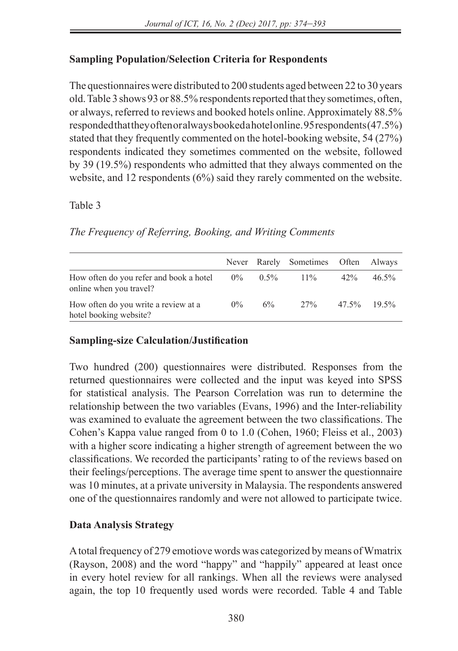# **Sampling Population/Selection Criteria for Respondents**

The questionnaires were distributed to 200 students aged between 22 to 30 years old. Table 3 shows 93 or 88.5% respondents reported that they sometimes, often, or always, referred to reviews and booked hotels online. Approximately 88.5% responded that they often or always booked a hotel online. 95 respondents (47.5%) stated that they frequently commented on the hotel-booking website, 54 (27%) respondents indicated they sometimes commented on the website, followed by 39 (19.5%) respondents who admitted that they always commented on the website, and 12 respondents (6%) said they rarely commented on the website.

#### Table 3

# *The Frequency of Referring, Booking, and Writing Comments*

|                                                                    |       |         | Never Rarely Sometimes Often Always |                |          |
|--------------------------------------------------------------------|-------|---------|-------------------------------------|----------------|----------|
| How often do you refer and book a hotel<br>online when you travel? | $0\%$ | $0.5\%$ | $11\%$                              | $42\%$         | $46.5\%$ |
| How often do you write a review at a<br>hotel booking website?     | $0\%$ | $6\%$   | 27%                                 | $47.5\%$ 19.5% |          |

### **Sampling-size Calculation/Justification**

Two hundred (200) questionnaires were distributed. Responses from the returned questionnaires were collected and the input was keyed into SPSS for statistical analysis. The Pearson Correlation was run to determine the relationship between the two variables (Evans, 1996) and the Inter-reliability was examined to evaluate the agreement between the two classifications. The Cohen's Kappa value ranged from 0 to 1.0 (Cohen, 1960; Fleiss et al., 2003) with a higher score indicating a higher strength of agreement between the wo classifications. We recorded the participants' rating to of the reviews based on their feelings/perceptions. The average time spent to answer the questionnaire was 10 minutes, at a private university in Malaysia. The respondents answered one of the questionnaires randomly and were not allowed to participate twice.

# **Data Analysis Strategy**

A total frequency of 279 emotiove words was categorized by means of Wmatrix (Rayson, 2008) and the word "happy" and "happily" appeared at least once in every hotel review for all rankings. When all the reviews were analysed again, the top 10 frequently used words were recorded. Table 4 and Table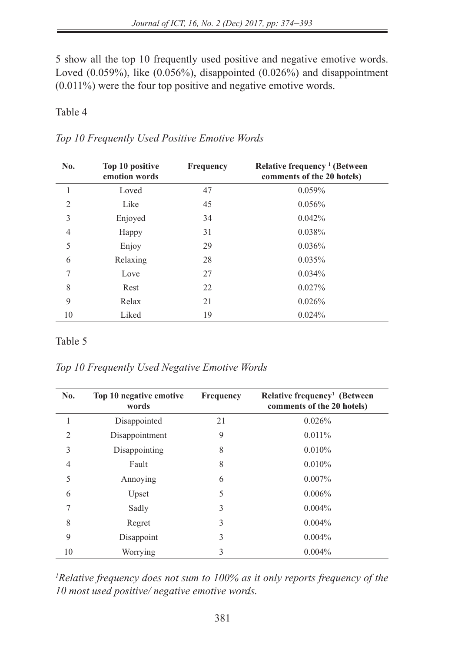5 show all the top 10 frequently used positive and negative emotive words. Loved  $(0.059\%)$ , like  $(0.056\%)$ , disappointed  $(0.026\%)$  and disappointment (0.011%) were the four top positive and negative emotive words.

#### Table 4

| Top 10 Frequently Used Positive Emotive Words |  |  |  |
|-----------------------------------------------|--|--|--|
|-----------------------------------------------|--|--|--|

| No.            | Top 10 positive<br>emotion words | Frequency | Relative frequency <sup>1</sup> (Between<br>comments of the 20 hotels) |
|----------------|----------------------------------|-----------|------------------------------------------------------------------------|
|                | Loved                            | 47        | 0.059%                                                                 |
| $\overline{2}$ | Like                             | 45        | $0.056\%$                                                              |
| 3              | Enjoyed                          | 34        | 0.042%                                                                 |
| 4              | Happy                            | 31        | 0.038%                                                                 |
| 5              | Enjoy                            | 29        | $0.036\%$                                                              |
| 6              | Relaxing                         | 28        | 0.035%                                                                 |
| 7              | Love                             | 27        | 0.034%                                                                 |
| 8              | Rest                             | 22        | $0.027\%$                                                              |
| 9              | Relax                            | 21        | 0.026%                                                                 |
| 10             | Liked                            | 19        | 0.024%                                                                 |

#### Table 5

*Top 10 Frequently Used Negative Emotive Words*

| No. | Top 10 negative emotive<br>words | <b>Frequency</b> | Relative frequency <sup>1</sup> (Between<br>comments of the 20 hotels) |
|-----|----------------------------------|------------------|------------------------------------------------------------------------|
| 1   | Disappointed                     | 21               | 0.026%                                                                 |
| 2   | Disappointment                   | 9                | $0.011\%$                                                              |
| 3   | Disappointing                    | 8                | $0.010\%$                                                              |
| 4   | Fault                            | 8                | $0.010\%$                                                              |
| 5   | Annoying                         | 6                | $0.007\%$                                                              |
| 6   | Upset                            | 5                | $0.006\%$                                                              |
| 7   | Sadly                            | 3                | $0.004\%$                                                              |
| 8   | Regret                           | 3                | $0.004\%$                                                              |
| 9   | Disappoint                       | 3                | $0.004\%$                                                              |
| 10  | Worrying                         | 3                | $0.004\%$                                                              |

<sup>1</sup>Relative frequency does not sum to 100% as it only reports frequency of the *10 most used positive/ negative emotive words.*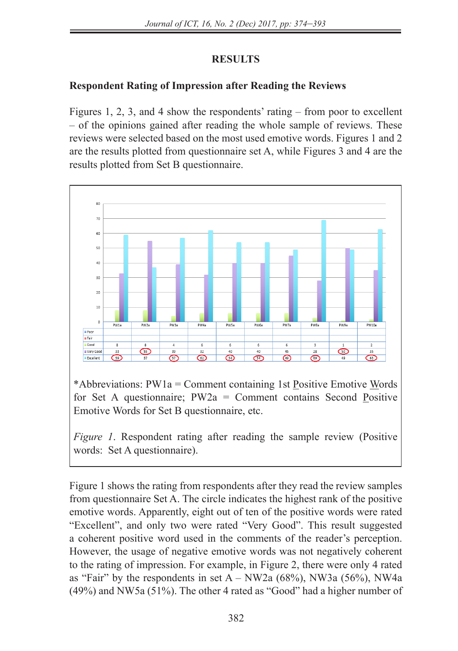# **RESULTS**

# **Respondent Rating of Impression after Reading the Reviews**

Figures 1, 2, 3, and 4 show the respondents' rating – from poor to excellent – of the opinions gained after reading the whole sample of reviews. These reviews were selected based on the most used emotive words. Figures 1 and 2 are the results plotted from questionnaire set A, while Figures 3 and 4 are the results plotted from Set B questionnaire.



\*Abbreviations: PW1a = Comment containing 1st Positive Emotive Words for Set A questionnaire; PW2a = Comment contains Second Positive Emotive Words for Set B questionnaire, etc.

*Figure 1*. Respondent rating after reading the sample review (Positive words: Set A questionnaire).

Figure 1 shows the rating from respondents after they read the review samples from questionnaire Set A. The circle indicates the highest rank of the positive emotive words. Apparently, eight out of ten of the positive words were rated "Excellent", and only two were rated "Very Good". This result suggested a coherent positive word used in the comments of the reader's perception. However, the usage of negative emotive words was not negatively coherent to the rating of impression. For example, in Figure 2, there were only 4 rated as "Fair" by the respondents in set  $A - NW2a$  (68%), NW3a (56%), NW4a (49%) and NW5a (51%). The other 4 rated as "Good" had a higher number of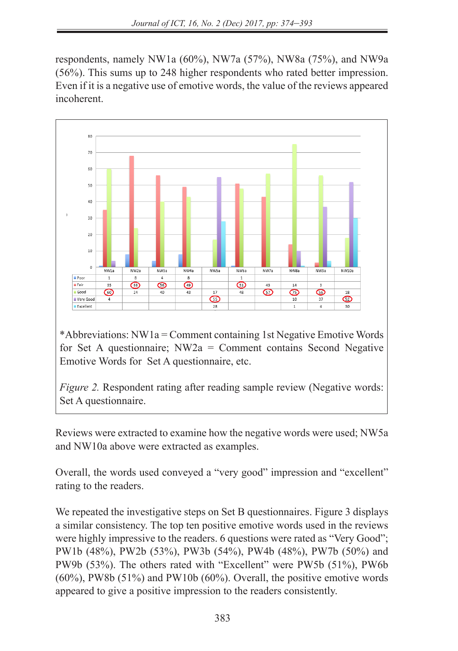respondents, namely NW1a (60%), NW7a (57%), NW8a (75%), and NW9a (56%). This sums up to 248 higher respondents who rated better impression. Even if it is a negative use of emotive words, the value of the reviews appeared incoherent.



\*Abbreviations: NW1a = Comment containing 1st Negative Emotive Words for Set A questionnaire; NW2a = Comment contains Second Negative Emotive Words for Set A questionnaire, etc.

*Figure 2.* Respondent rating after reading sample review (Negative words: Set A questionnaire.

Reviews were extracted to examine how the negative words were used; NW5a and NW10a above were extracted as examples.

Overall, the words used conveyed a "very good" impression and "excellent" rating to the readers.

We repeated the investigative steps on Set B questionnaires. Figure 3 displays a similar consistency. The top ten positive emotive words used in the reviews were highly impressive to the readers. 6 questions were rated as "Very Good"; PW1b (48%), PW2b (53%), PW3b (54%), PW4b (48%), PW7b (50%) and PW9b (53%). The others rated with "Excellent" were PW5b (51%), PW6b  $(60\%)$ , PW8b  $(51\%)$  and PW10b  $(60\%)$ . Overall, the positive emotive words appeared to give a positive impression to the readers consistently.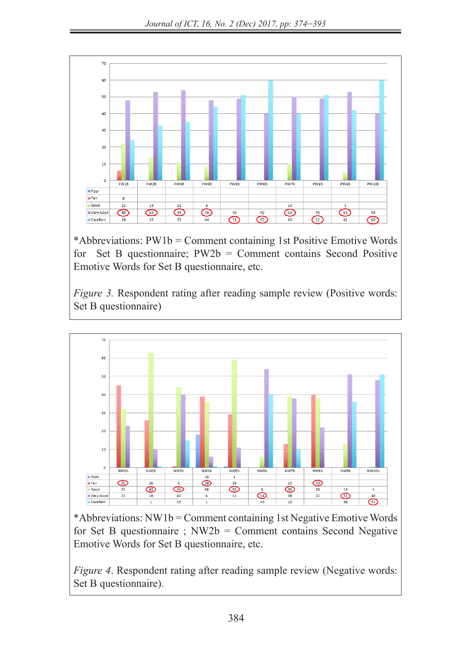

\*Abbreviations: PW1b = Comment containing 1st Positive Emotive Words for Set B questionnaire; PW2b = Comment contains Second Positive Emotive Words for Set B questionnaire, etc.

*Figure 3.* Respondent rating after reading sample review (Positive words: Set B questionnaire)



\*Abbreviations: NW1b = Comment containing 1st Negative Emotive Words for Set B questionnaire ;  $NW2b = Comment$  contains Second Negative Emotive Words for Set B questionnaire, etc.

*Figure 4.* Respondent rating after reading sample review (Negative words: Set B questionnaire).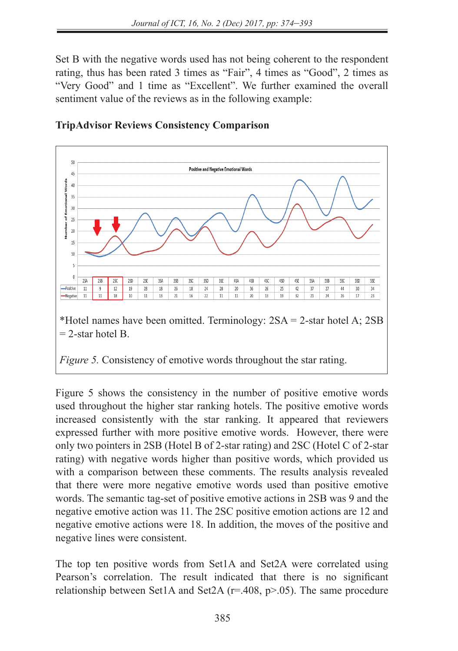Set B with the negative words used has not being coherent to the respondent rating, thus has been rated 3 times as "Fair", 4 times as "Good", 2 times as "Very Good" and 1 time as "Excellent". We further examined the overall sentiment value of the reviews as in the following example:



# **TripAdvisor Reviews Consistency Comparison**

*Figure 5.* Consistency of emotive words throughout the star rating.

Figure 5 shows the consistency in the number of positive emotive words used throughout the higher star ranking hotels. The positive emotive words increased consistently with the star ranking. It appeared that reviewers expressed further with more positive emotive words. However, there were only two pointers in 2SB (Hotel B of 2-star rating) and 2SC (Hotel C of 2-star rating) with negative words higher than positive words, which provided us with a comparison between these comments. The results analysis revealed that there were more negative emotive words used than positive emotive words. The semantic tag-set of positive emotive actions in 2SB was 9 and the negative emotive action was 11. The 2SC positive emotion actions are 12 and negative emotive actions were 18. In addition, the moves of the positive and negative lines were consistent.

The top ten positive words from Set1A and Set2A were correlated using Pearson's correlation. The result indicated that there is no significant relationship between Set1A and Set2A ( $r=408$ ,  $p>0.05$ ). The same procedure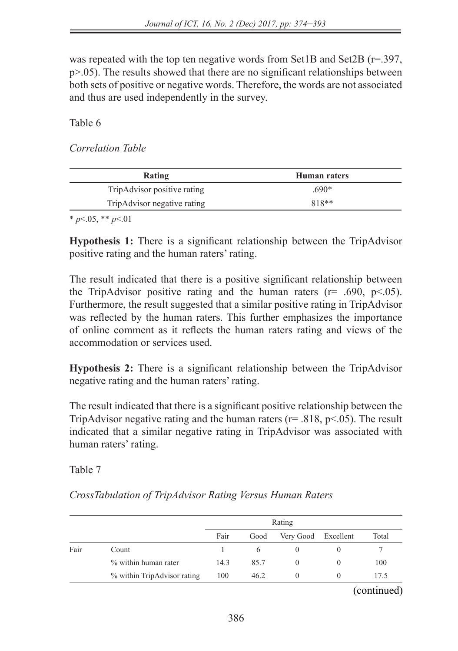was repeated with the top ten negative words from Set1B and Set2B (r=.397, p>.05). The results showed that there are no significant relationships between both sets of positive or negative words. Therefore, the words are not associated and thus are used independently in the survey.

Table 6

*Correlation Table*

| Rating                      | Human raters |  |
|-----------------------------|--------------|--|
| TripAdvisor positive rating | 690*         |  |
| TripAdvisor negative rating | $818**$      |  |

\* *p*<.05, \*\* *p*<.01

**Hypothesis 1:** There is a significant relationship between the TripAdvisor positive rating and the human raters' rating.

The result indicated that there is a positive significant relationship between the TripAdvisor positive rating and the human raters ( $r = .690, p < .05$ ). Furthermore, the result suggested that a similar positive rating in TripAdvisor was reflected by the human raters. This further emphasizes the importance of online comment as it reflects the human raters rating and views of the accommodation or services used.

**Hypothesis 2:** There is a significant relationship between the TripAdvisor negative rating and the human raters' rating.

The result indicated that there is a significant positive relationship between the TripAdvisor negative rating and the human raters ( $r = .818$ ,  $p < .05$ ). The result indicated that a similar negative rating in TripAdvisor was associated with human raters' rating.

Table 7

*CrossTabulation of TripAdvisor Rating Versus Human Raters*

|      |                             | Rating |      |                     |          |       |
|------|-----------------------------|--------|------|---------------------|----------|-------|
|      |                             | Fair   | Good | Very Good Excellent |          | Total |
| Fair | Count                       |        | 6    | $\Omega$            | $\theta$ |       |
|      | % within human rater        | 14.3   | 85.7 | $\Omega$            | $\Omega$ | 100   |
|      | % within TripAdvisor rating | 100    | 46.2 | $\theta$            | $\theta$ | 17.5  |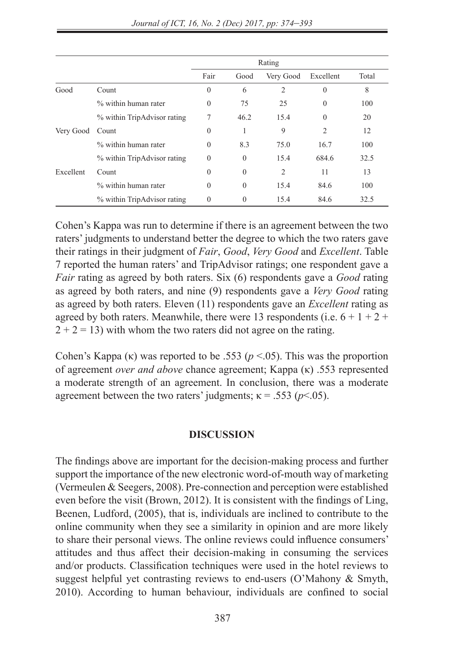|           |                             | Rating           |              |                |                |       |
|-----------|-----------------------------|------------------|--------------|----------------|----------------|-------|
|           |                             | Fair             | Good         | Very Good      | Excellent      | Total |
| Good      | Count                       | $\mathbf{0}$     | 6            | 2              | $\theta$       | 8     |
|           | % within human rater        | $\mathbf{0}$     | 75           | 25             | $\mathbf{0}$   | 100   |
|           | % within TripAdvisor rating | 7                | 46.2         | 15.4           | $\theta$       | 20    |
| Very Good | Count                       | $\boldsymbol{0}$ | 1            | 9              | $\overline{2}$ | 12    |
|           | % within human rater        | $\mathbf{0}$     | 8.3          | 75.0           | 16.7           | 100   |
|           | % within TripAdvisor rating | $\theta$         | $\mathbf{0}$ | 15.4           | 684.6          | 32.5  |
| Excellent | Count                       | $\mathbf{0}$     | $\mathbf{0}$ | $\overline{c}$ | 11             | 13    |
|           | % within human rater        | $\mathbf{0}$     | $\mathbf{0}$ | 15.4           | 84.6           | 100   |
|           | % within TripAdvisor rating | $\theta$         | $\mathbf{0}$ | 15.4           | 84.6           | 32.5  |

Cohen's Kappa was run to determine if there is an agreement between the two raters' judgments to understand better the degree to which the two raters gave their ratings in their judgment of *Fair*, *Good*, *Very Good* and *Excellent*. Table 7 reported the human raters' and TripAdvisor ratings; one respondent gave a *Fair* rating as agreed by both raters. Six (6) respondents gave a *Good* rating as agreed by both raters, and nine (9) respondents gave a *Very Good* rating as agreed by both raters. Eleven (11) respondents gave an *Excellent* rating as agreed by both raters. Meanwhile, there were 13 respondents (i.e.  $6 + 1 + 2 +$  $2 + 2 = 13$ ) with whom the two raters did not agree on the rating.

Cohen's Kappa (κ) was reported to be .553 (*p* <.05). This was the proportion of agreement *over and above* chance agreement; Kappa (κ) .553 represented a moderate strength of an agreement. In conclusion, there was a moderate agreement between the two raters' judgments;  $\kappa = .553$  ( $p < .05$ ).

#### **DISCUSSION**

The findings above are important for the decision-making process and further support the importance of the new electronic word-of-mouth way of marketing (Vermeulen & Seegers, 2008). Pre-connection and perception were established even before the visit (Brown, 2012). It is consistent with the findings of Ling, Beenen, Ludford, (2005), that is, individuals are inclined to contribute to the online community when they see a similarity in opinion and are more likely to share their personal views. The online reviews could influence consumers' attitudes and thus affect their decision-making in consuming the services and/or products. Classification techniques were used in the hotel reviews to suggest helpful yet contrasting reviews to end-users (O'Mahony & Smyth, 2010). According to human behaviour, individuals are confined to social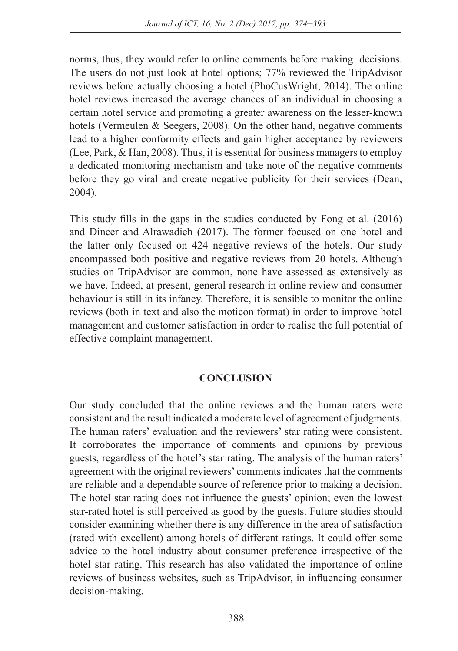norms, thus, they would refer to online comments before making decisions. The users do not just look at hotel options; 77% reviewed the TripAdvisor reviews before actually choosing a hotel (PhoCusWright, 2014). The online hotel reviews increased the average chances of an individual in choosing a certain hotel service and promoting a greater awareness on the lesser-known hotels (Vermeulen & Seegers, 2008). On the other hand, negative comments lead to a higher conformity effects and gain higher acceptance by reviewers (Lee, Park, & Han, 2008). Thus, it is essential for business managers to employ a dedicated monitoring mechanism and take note of the negative comments before they go viral and create negative publicity for their services (Dean, 2004).

This study fills in the gaps in the studies conducted by Fong et al. (2016) and Dincer and Alrawadieh (2017). The former focused on one hotel and the latter only focused on 424 negative reviews of the hotels. Our study encompassed both positive and negative reviews from 20 hotels. Although studies on TripAdvisor are common, none have assessed as extensively as we have. Indeed, at present, general research in online review and consumer behaviour is still in its infancy. Therefore, it is sensible to monitor the online reviews (both in text and also the moticon format) in order to improve hotel management and customer satisfaction in order to realise the full potential of effective complaint management.

### **CONCLUSION**

Our study concluded that the online reviews and the human raters were consistent and the result indicated a moderate level of agreement of judgments. The human raters' evaluation and the reviewers' star rating were consistent. It corroborates the importance of comments and opinions by previous guests, regardless of the hotel's star rating. The analysis of the human raters' agreement with the original reviewers' comments indicates that the comments are reliable and a dependable source of reference prior to making a decision. The hotel star rating does not influence the guests' opinion; even the lowest star-rated hotel is still perceived as good by the guests. Future studies should consider examining whether there is any difference in the area of satisfaction (rated with excellent) among hotels of different ratings. It could offer some advice to the hotel industry about consumer preference irrespective of the hotel star rating. This research has also validated the importance of online reviews of business websites, such as TripAdvisor, in influencing consumer decision-making.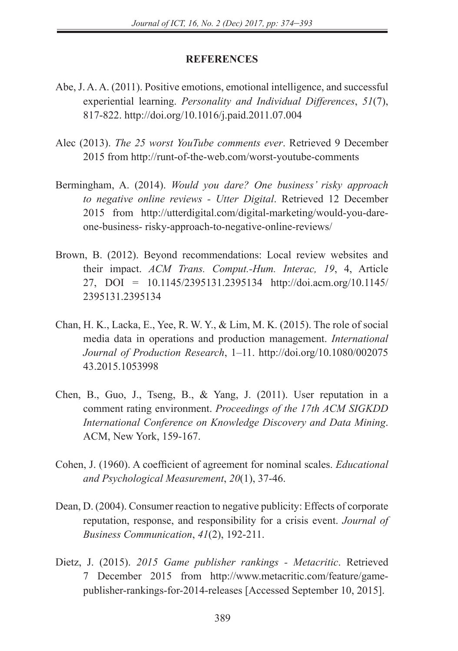#### **REFERENCES**

- Abe, J. A. A. (2011). Positive emotions, emotional intelligence, and successful experiential learning. *Personality and Individual Differences*, *51*(7), 817-822. http://doi.org/10.1016/j.paid.2011.07.004
- Alec (2013). *The 25 worst YouTube comments ever*. Retrieved 9 December 2015 from http://runt-of-the-web.com/worst-youtube-comments
- Bermingham, A. (2014). *Would you dare? One business' risky approach to negative online reviews - Utter Digital*. Retrieved 12 December 2015 from http://utterdigital.com/digital-marketing/would-you-dareone-business- risky-approach-to-negative-online-reviews/
- Brown, B. (2012). Beyond recommendations: Local review websites and their impact. *ACM Trans. Comput.-Hum. Interac, 19*, 4, Article 27, DOI = 10.1145/2395131.2395134 http://doi.acm.org/10.1145/ 2395131.2395134
- Chan, H. K., Lacka, E., Yee, R. W. Y., & Lim, M. K. (2015). The role of social media data in operations and production management. *International Journal of Production Research*, 1–11. http://doi.org/10.1080/002075 43.2015.1053998
- Chen, B., Guo, J., Tseng, B., & Yang, J. (2011). User reputation in a comment rating environment. *Proceedings of the 17th ACM SIGKDD International Conference on Knowledge Discovery and Data Mining*. ACM, New York, 159-167.
- Cohen, J. (1960). A coefficient of agreement for nominal scales. *Educational and Psychological Measurement*, *20*(1), 37-46.
- Dean, D. (2004). Consumer reaction to negative publicity: Effects of corporate reputation, response, and responsibility for a crisis event. *Journal of Business Communication*, *41*(2), 192-211.
- Dietz, J. (2015). *2015 Game publisher rankings Metacritic*. Retrieved 7 December 2015 from http://www.metacritic.com/feature/gamepublisher-rankings-for-2014-releases [Accessed September 10, 2015].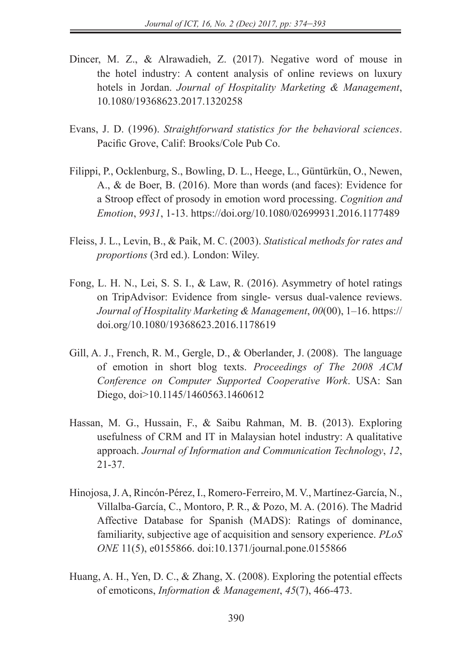- Dincer, M. Z., & Alrawadieh, Z. (2017). Negative word of mouse in the hotel industry: A content analysis of online reviews on luxury hotels in Jordan. *Journal of Hospitality Marketing & Management*, 10.1080/19368623.2017.1320258
- Evans, J. D. (1996). *Straightforward statistics for the behavioral sciences*. Pacific Grove, Calif: Brooks/Cole Pub Co.
- Filippi, P., Ocklenburg, S., Bowling, D. L., Heege, L., Güntürkün, O., Newen, A., & de Boer, B. (2016). More than words (and faces): Evidence for a Stroop effect of prosody in emotion word processing. *Cognition and Emotion*, *9931*, 1-13. https://doi.org/10.1080/02699931.2016.1177489
- Fleiss, J. L., Levin, B., & Paik, M. C. (2003). *Statistical methods for rates and proportions* (3rd ed.). London: Wiley.
- Fong, L. H. N., Lei, S. S. I., & Law, R. (2016). Asymmetry of hotel ratings on TripAdvisor: Evidence from single- versus dual-valence reviews. *Journal of Hospitality Marketing & Management*, *00*(00), 1–16. https:// doi.org/10.1080/19368623.2016.1178619
- Gill, A. J., French, R. M., Gergle, D., & Oberlander, J. (2008). The language of emotion in short blog texts. *Proceedings of The 2008 ACM Conference on Computer Supported Cooperative Work*. USA: San Diego, doi>10.1145/1460563.1460612
- Hassan, M. G., Hussain, F., & Saibu Rahman, M. B. (2013). Exploring usefulness of CRM and IT in Malaysian hotel industry: A qualitative approach. *Journal of Information and Communication Technology*, *12*, 21-37.
- Hinojosa, J. A, Rincón-Pérez, I., Romero-Ferreiro, M. V., Martínez-García, N., Villalba-García, C., Montoro, P. R., & Pozo, M. A. (2016). The Madrid Affective Database for Spanish (MADS): Ratings of dominance, familiarity, subjective age of acquisition and sensory experience. *PLoS ONE* 11(5), e0155866. doi:10.1371/journal.pone.0155866
- Huang, A. H., Yen, D. C., & Zhang, X. (2008). Exploring the potential effects of emoticons, *Information & Management*, *45*(7), 466-473.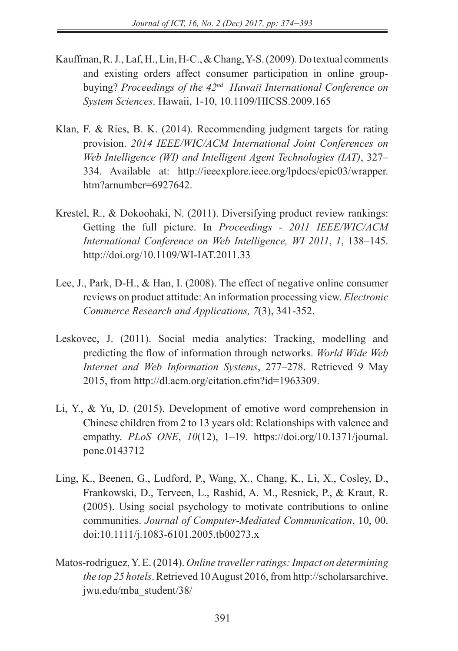- Kauffman, R. J., Laf, H., Lin, H-C., & Chang, Y-S. (2009). Do textual comments and existing orders affect consumer participation in online groupbuying? *Proceedings of the 42nd Hawaii International Conference on System Sciences*. Hawaii, 1-10, 10.1109/HICSS.2009.165
- Klan, F. & Ries, B. K. (2014). Recommending judgment targets for rating provision. *2014 IEEE/WIC/ACM International Joint Conferences on Web Intelligence (WI) and Intelligent Agent Technologies (IAT)*, 327– 334. Available at: http://ieeexplore.ieee.org/lpdocs/epic03/wrapper. htm?arnumber=6927642.
- Krestel, R., & Dokoohaki, N. (2011). Diversifying product review rankings: Getting the full picture. In *Proceedings - 2011 IEEE/WIC/ACM International Conference on Web Intelligence, WI 2011*, *1*, 138–145. http://doi.org/10.1109/WI-IAT.2011.33
- Lee, J., Park, D-H., & Han, I. (2008). The effect of negative online consumer reviews on product attitude: An information processing view. *Electronic Commerce Research and Applications, 7*(3), 341-352.
- Leskovec, J. (2011). Social media analytics: Tracking, modelling and predicting the flow of information through networks. *World Wide Web Internet and Web Information Systems*, 277–278. Retrieved 9 May 2015, from http://dl.acm.org/citation.cfm?id=1963309.
- Li, Y., & Yu, D. (2015). Development of emotive word comprehension in Chinese children from 2 to 13 years old: Relationships with valence and empathy. *PLoS ONE*, *10*(12), 1–19. https://doi.org/10.1371/journal. pone.0143712
- Ling, K., Beenen, G., Ludford, P., Wang, X., Chang, K., Li, X., Cosley, D., Frankowski, D., Terveen, L., Rashid, A. M., Resnick, P., & Kraut, R. (2005). Using social psychology to motivate contributions to online communities. *Journal of Computer-Mediated Communication*, 10, 00. doi:10.1111/j.1083-6101.2005.tb00273.x
- Matos-rodríguez, Y. E. (2014). *Online traveller ratings: Impact on determining the top 25 hotels*. Retrieved 10 August 2016, from http://scholarsarchive. jwu.edu/mba\_student/38/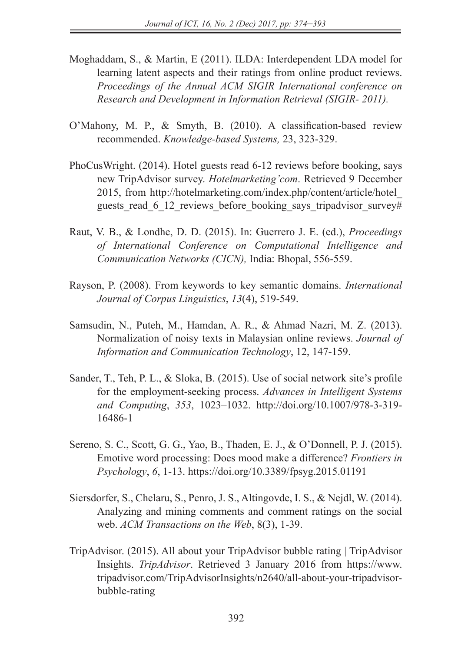- Moghaddam, S., & Martin, E (2011). ILDA: Interdependent LDA model for learning latent aspects and their ratings from online product reviews. *Proceedings of the Annual ACM SIGIR International conference on Research and Development in Information Retrieval (SIGIR- 2011).*
- O'Mahony, M. P., & Smyth, B. (2010). A classification-based review recommended. *Knowledge-based Systems,* 23, 323-329.
- PhoCusWright. (2014). Hotel guests read 6-12 reviews before booking, says new TripAdvisor survey. *Hotelmarketing'com*. Retrieved 9 December 2015, from http://hotelmarketing.com/index.php/content/article/hotel\_ guests read 6 12 reviews before booking says tripadvisor survey#
- Raut, V. B., & Londhe, D. D. (2015). In: Guerrero J. E. (ed.), *Proceedings of International Conference on Computational Intelligence and Communication Networks (CICN),* India: Bhopal, 556-559.
- Rayson, P. (2008). From keywords to key semantic domains. *International Journal of Corpus Linguistics*, *13*(4), 519-549.
- Samsudin, N., Puteh, M., Hamdan, A. R., & Ahmad Nazri, M. Z. (2013). Normalization of noisy texts in Malaysian online reviews. *Journal of Information and Communication Technology*, 12, 147-159.
- Sander, T., Teh, P. L., & Sloka, B. (2015). Use of social network site's profile for the employment-seeking process. *Advances in Intelligent Systems and Computing*, *353*, 1023–1032. http://doi.org/10.1007/978-3-319- 16486-1
- Sereno, S. C., Scott, G. G., Yao, B., Thaden, E. J., & O'Donnell, P. J. (2015). Emotive word processing: Does mood make a difference? *Frontiers in Psychology*, *6*, 1-13. https://doi.org/10.3389/fpsyg.2015.01191
- Siersdorfer, S., Chelaru, S., Penro, J. S., Altingovde, I. S., & Nejdl, W. (2014). Analyzing and mining comments and comment ratings on the social web. *ACM Transactions on the Web*, 8(3), 1-39.
- TripAdvisor. (2015). All about your TripAdvisor bubble rating | TripAdvisor Insights. *TripAdvisor*. Retrieved 3 January 2016 from https://www. tripadvisor.com/TripAdvisorInsights/n2640/all-about-your-tripadvisorbubble-rating